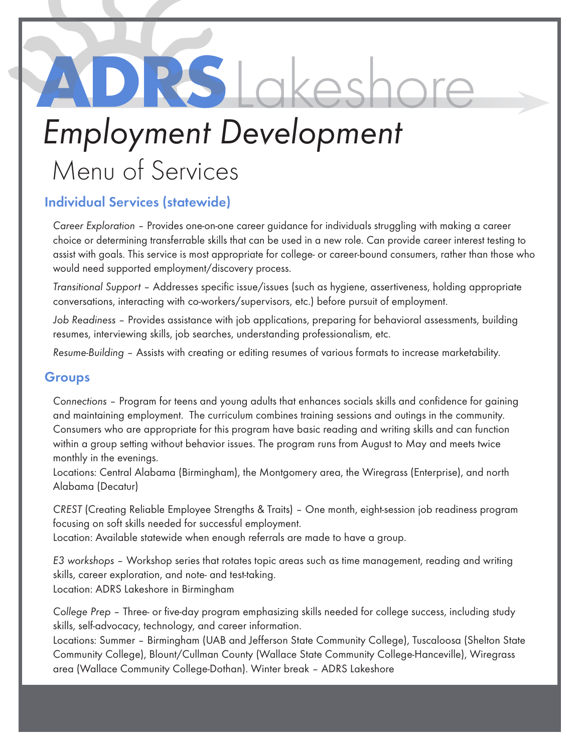# ADRSLakeshore

## *Employment Development*

### Menu of Services

#### **Individual Services (statewide)**

*Career Exploration* – Provides one-on-one career guidance for individuals struggling with making a career choice or determining transferrable skills that can be used in a new role. Can provide career interest testing to assist with goals. This service is most appropriate for college- or career-bound consumers, rather than those who would need supported employment/discovery process.

*Transitional Support* – Addresses specific issue/issues (such as hygiene, assertiveness, holding appropriate conversations, interacting with co-workers/supervisors, etc.) before pursuit of employment.

*Job Readiness* – Provides assistance with job applications, preparing for behavioral assessments, building resumes, interviewing skills, job searches, understanding professionalism, etc.

*Resume-Building* – Assists with creating or editing resumes of various formats to increase marketability.

#### **Groups**

*Connections* – Program for teens and young adults that enhances socials skills and confidence for gaining and maintaining employment. The curriculum combines training sessions and outings in the community. Consumers who are appropriate for this program have basic reading and writing skills and can function within a group setting without behavior issues. The program runs from August to May and meets twice monthly in the evenings.

Locations: Central Alabama (Birmingham), the Montgomery area, the Wiregrass (Enterprise), and north Alabama (Decatur)

*CREST* (Creating Reliable Employee Strengths & Traits) – One month, eight-session job readiness program focusing on soft skills needed for successful employment.

Location: Available statewide when enough referrals are made to have a group.

*E3 workshops* – Workshop series that rotates topic areas such as time management, reading and writing skills, career exploration, and note- and test-taking. Location: ADRS Lakeshore in Birmingham

*College Prep* – Three- or five-day program emphasizing skills needed for college success, including study skills, self-advocacy, technology, and career information.

Locations: Summer – Birmingham (UAB and Jefferson State Community College), Tuscaloosa (Shelton State Community College), Blount/Cullman County (Wallace State Community College-Hanceville), Wiregrass area (Wallace Community College-Dothan). Winter break – ADRS Lakeshore